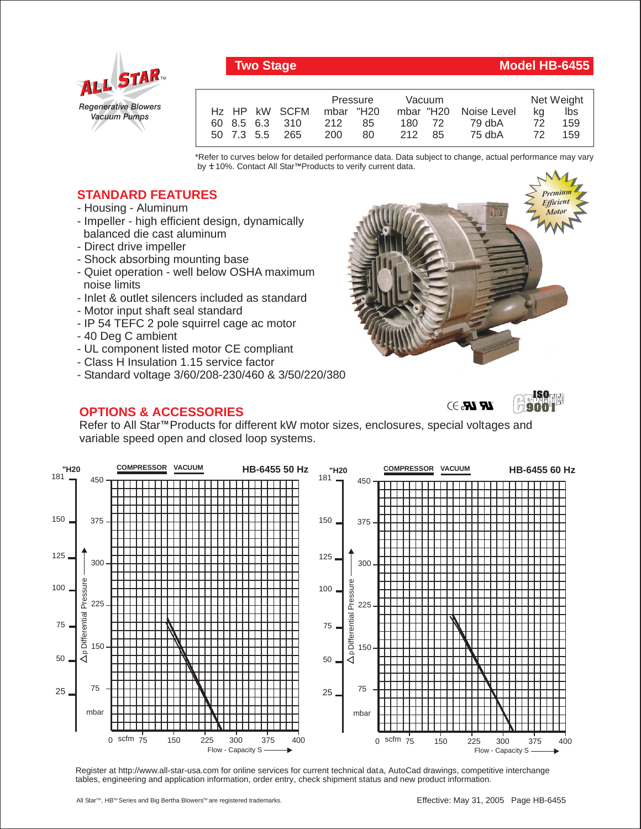

## **Two Stage Model HB-6455**

|  |                         | Pressure |     | Vacuum |        |                       | Net Weight |        |
|--|-------------------------|----------|-----|--------|--------|-----------------------|------------|--------|
|  | Hz HP kW SCFM mbar "H20 |          |     |        |        | mbar "H20 Noise Level |            | ka Ibs |
|  | 60 8.5 6.3 310 212 85   |          |     |        | 180 72 | 79 dbA                | 72         | 159    |
|  | 50 7.3 5.5 265          | 200      | -80 | 212 85 |        | 75 dbA                | 72         | 159    |

\*Refer to curves below for detailed performance data. Data subject to change, actual performance may vary by **+** 10%. Contact All Star™Products to verify current data.

## **STANDARD FEATURES**

- Housing Aluminum
- Impeller high efficient design, dynamically balanced die cast aluminum
- Direct drive impeller
- Shock absorbing mounting base
- Quiet operation well below OSHA maximum noise limits
- Inlet & outlet silencers included as standard
- Motor input shaft seal standard
- IP 54 TEFC 2 pole squirrel cage ac motor
- 40 Deg C ambient
- UL component listed motor CE compliant
- Class H Insulation 1.15 service factor
- Standard voltage 3/60/208-230/460 & 3/50/220/380

## **OPTIONS & ACCESSORIES**





**ISO 9001**

Refer to All Star<sup>™</sup> Products for different kW motor sizes, enclosures, special voltages and variable speed open and closed loop systems.



Register at http://www.all-star-usa.com for online services for current technical data, AutoCad drawings, competitive interchange tables, engineering and application information, order entry, check shipment status and new product information.